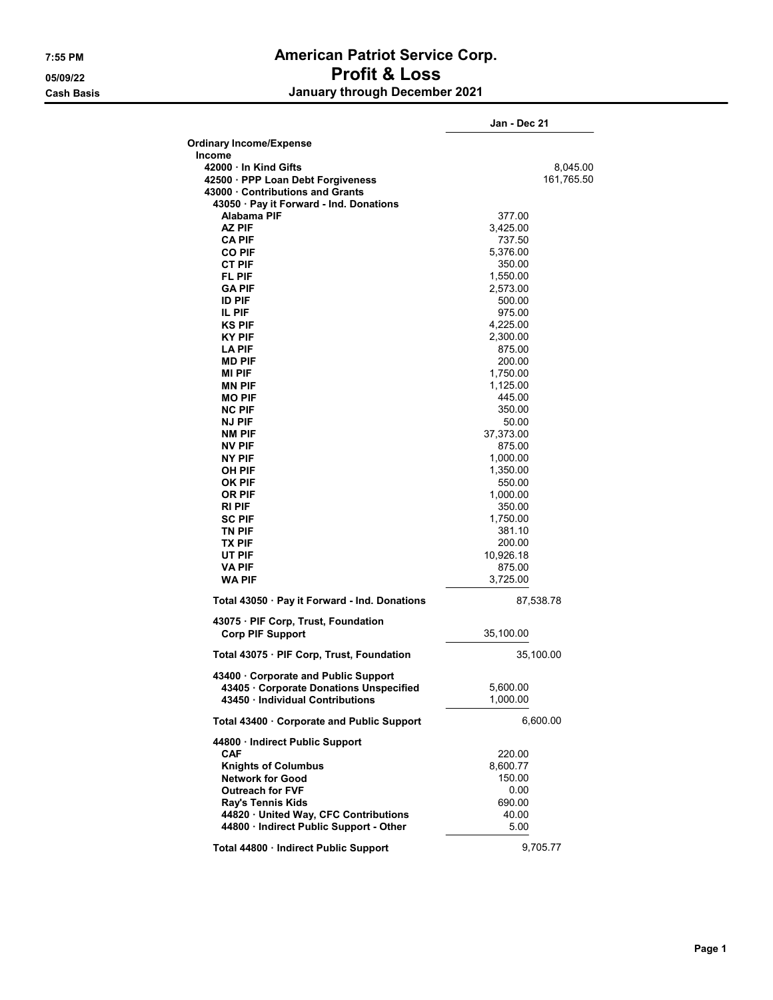## 7:55 PM American Patriot Service Corp. 05/09/22 Profit & Loss Cash Basis January through December 2021

|                                                                | Jan - Dec 21 |
|----------------------------------------------------------------|--------------|
| <b>Ordinary Income/Expense</b>                                 |              |
| <b>Income</b>                                                  |              |
| 42000 In Kind Gifts                                            | 8,045.00     |
| 42500 · PPP Loan Debt Forgiveness                              | 161,765.50   |
| 43000 Contributions and Grants                                 |              |
| 43050 · Pay it Forward - Ind. Donations                        |              |
| Alabama PIF                                                    | 377.00       |
| AZ PIF                                                         | 3,425.00     |
| <b>CA PIF</b>                                                  | 737.50       |
| <b>CO PIF</b>                                                  | 5,376.00     |
| CT PIF                                                         | 350.00       |
| FL PIF                                                         | 1,550.00     |
| <b>GA PIF</b>                                                  | 2,573.00     |
| <b>ID PIF</b>                                                  | 500.00       |
| IL PIF                                                         | 975.00       |
| <b>KS PIF</b>                                                  | 4,225.00     |
| KY PIF                                                         | 2,300.00     |
| <b>LA PIF</b>                                                  | 875.00       |
| <b>MD PIF</b>                                                  | 200.00       |
| MI PIF                                                         | 1,750.00     |
| <b>MN PIF</b>                                                  | 1,125.00     |
| <b>MO PIF</b>                                                  | 445.00       |
| <b>NC PIF</b>                                                  | 350.00       |
| <b>NJ PIF</b>                                                  | 50.00        |
| <b>NM PIF</b>                                                  | 37,373.00    |
| NV PIF                                                         | 875.00       |
| NY PIF                                                         | 1,000.00     |
| OH PIF                                                         | 1,350.00     |
| OK PIF                                                         | 550.00       |
| OR PIF                                                         | 1,000.00     |
| RI PIF                                                         | 350.00       |
| SC PIF                                                         | 1,750.00     |
| TN PIF                                                         | 381.10       |
| TX PIF                                                         | 200.00       |
| UT PIF                                                         | 10,926.18    |
| VA PIF                                                         | 875.00       |
| <b>WA PIF</b>                                                  | 3,725.00     |
| Total 43050 · Pay it Forward - Ind. Donations                  | 87,538.78    |
|                                                                |              |
| 43075 · PIF Corp, Trust, Foundation<br><b>Corp PIF Support</b> | 35,100.00    |
|                                                                |              |
| Total 43075 · PIF Corp, Trust, Foundation                      | 35,100.00    |
| 43400 Corporate and Public Support                             |              |
| 43405 · Corporate Donations Unspecified                        | 5,600.00     |
| 43450 · Individual Contributions                               | 1,000.00     |
| Total 43400 Corporate and Public Support                       | 6,600.00     |
| 44800 · Indirect Public Support                                |              |
| CAF                                                            | 220.00       |
| <b>Knights of Columbus</b>                                     | 8.600.77     |
| <b>Network for Good</b>                                        | 150.00       |
| <b>Outreach for FVF</b>                                        | 0.00         |
| Ray's Tennis Kids                                              | 690.00       |
| 44820 · United Way, CFC Contributions                          | 40.00        |
| 44800 · Indirect Public Support - Other                        | 5.00         |
|                                                                |              |
| Total 44800 · Indirect Public Support                          | 9,705.77     |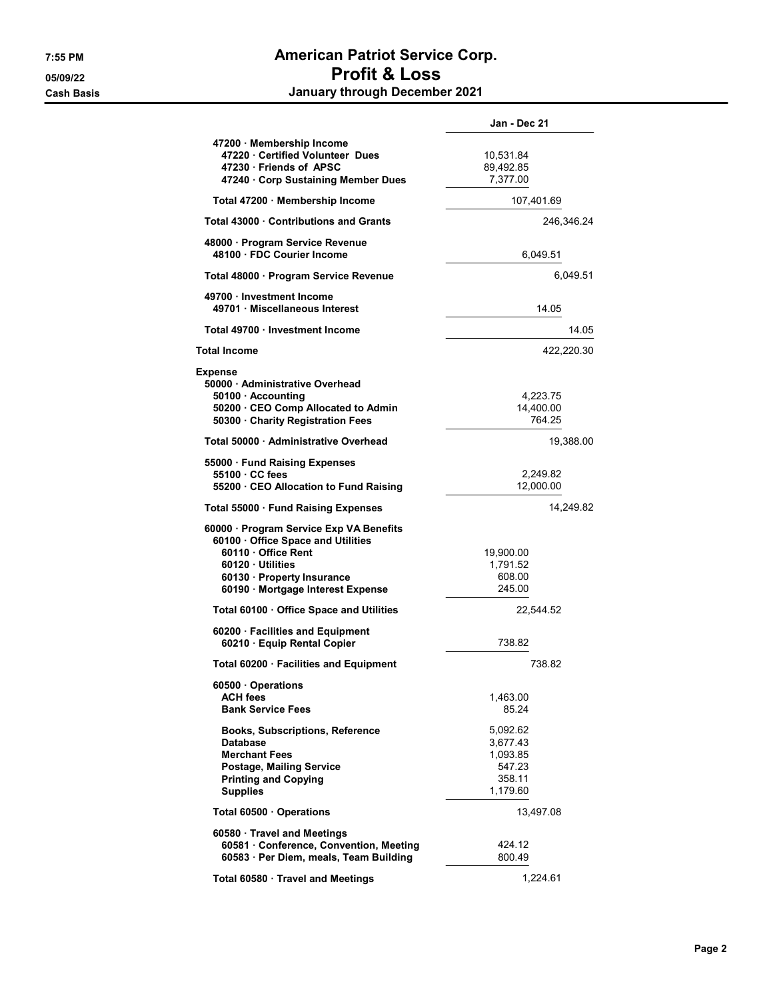## 7:55 PM American Patriot Service Corp. 05/09/22 Profit & Loss Cash Basis January through December 2021

|                                                                                                                                                                                        | Jan - Dec 21                                                     |  |
|----------------------------------------------------------------------------------------------------------------------------------------------------------------------------------------|------------------------------------------------------------------|--|
| 47200 · Membership Income<br>47220 · Certified Volunteer Dues<br>47230 Friends of APSC                                                                                                 | 10,531.84<br>89,492.85                                           |  |
| 47240 · Corp Sustaining Member Dues                                                                                                                                                    | 7,377.00                                                         |  |
| Total 47200 Membership Income                                                                                                                                                          | 107,401.69                                                       |  |
| <b>Total 43000 Contributions and Grants</b>                                                                                                                                            | 246,346.24                                                       |  |
| 48000 · Program Service Revenue<br>48100 · FDC Courier Income                                                                                                                          | 6,049.51                                                         |  |
| Total 48000 · Program Service Revenue                                                                                                                                                  | 6,049.51                                                         |  |
| 49700 · Investment Income<br>49701 Miscellaneous Interest                                                                                                                              | 14.05                                                            |  |
| Total 49700 · Investment Income                                                                                                                                                        | 14.05                                                            |  |
| <b>Total Income</b>                                                                                                                                                                    | 422,220.30                                                       |  |
| <b>Expense</b><br>50000 · Administrative Overhead<br>50100 · Accounting<br>50200 · CEO Comp Allocated to Admin<br>50300 · Charity Registration Fees                                    | 4,223.75<br>14,400.00<br>764.25                                  |  |
| Total 50000 Administrative Overhead                                                                                                                                                    | 19,388.00                                                        |  |
| 55000 · Fund Raising Expenses<br>55100 · CC fees<br>55200 CEO Allocation to Fund Raising                                                                                               | 2,249.82<br>12,000.00                                            |  |
| Total 55000 Fund Raising Expenses                                                                                                                                                      | 14,249.82                                                        |  |
| 60000 · Program Service Exp VA Benefits<br>60100 Office Space and Utilities<br>60110 Office Rent<br>60120 Utilities<br>60130 · Property Insurance<br>60190 · Mortgage Interest Expense | 19,900.00<br>1,791.52<br>608.00<br>245.00                        |  |
| Total 60100 Office Space and Utilities                                                                                                                                                 | 22,544.52                                                        |  |
| 60200 · Facilities and Equipment<br>60210 · Equip Rental Copier                                                                                                                        | 738.82                                                           |  |
| Total 60200 · Facilities and Equipment                                                                                                                                                 | 738.82                                                           |  |
| 60500 Operations<br><b>ACH fees</b><br><b>Bank Service Fees</b>                                                                                                                        | 1,463.00<br>85.24                                                |  |
| <b>Books, Subscriptions, Reference</b><br><b>Database</b><br><b>Merchant Fees</b><br><b>Postage, Mailing Service</b><br><b>Printing and Copying</b><br><b>Supplies</b>                 | 5,092.62<br>3,677.43<br>1,093.85<br>547.23<br>358.11<br>1,179.60 |  |
| Total 60500 · Operations                                                                                                                                                               | 13,497.08                                                        |  |
| 60580 Travel and Meetings<br>60581 · Conference, Convention, Meeting<br>60583 · Per Diem, meals, Team Building                                                                         | 424.12<br>800.49                                                 |  |
| Total 60580 · Travel and Meetings                                                                                                                                                      | 1,224.61                                                         |  |